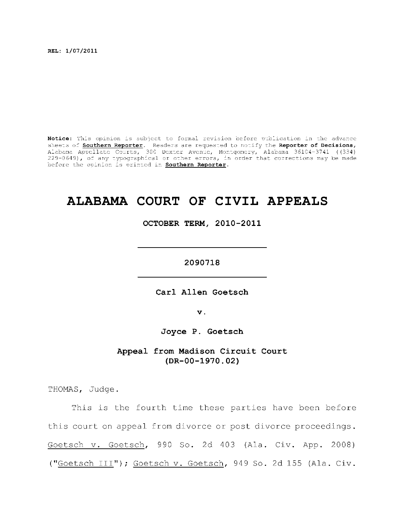**REL: 1/07/2011** 

Notice: This opinion is subject to formal revision before publication in the advance sheets of **Southern Reporter**. Readers are requested to notify the Reporter of Decisions, Alabama Appellat e Courts , 300 Dexte r Avenue, Montgomery, Alabama 36104-3741 ((334) 229-0649), of any typographical or other errors, in order that corrections may be made before the opinion is printed in **Southern Reporter**.

# **ALABAMA COURT OF CIVIL APPEALS**

**OCTOBER TERM, 2010-2011** 

**2090718** 

**Carl Allen Goetsch** 

**v.** 

**Joyce P. Goetsch** 

Appeal from Madison Circuit Court **(DR-00-1970.02)** 

THOMAS, Judge.

This is the fourth time these parties have been before this court on appeal from divorce or post divorce proceedings. Goetsch v. Goetsch, 990 So. 2d 403 (Ala. Civ. App. 2008) ("Goetsch III"); Goetsch v. Goetsch, 949 So. 2d 155 (Ala. Civ.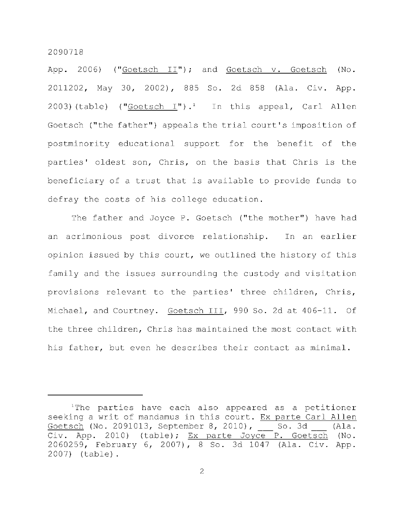App. 2006) ("Goetsch II"); and Goetsch v. Goetsch (No. 2011202, May 30, 2002), 885 So. 2d 858 (Ala. Civ. App. 2003)(table) (" $Goetsch I"$ ).<sup>1</sup> In this appeal, Carl Allen Goetsch ("the father") appeals the trial court's imposition of postminority educational support for the benefit of the parties' oldest son, Chris, on the basis that Chris is the beneficiary of a trust that is available to provide funds to defray the costs of his college education.

The father and Joyce P. Goetsch ("the mother") have had an acrimonious post divorce relationship. In an earlier opinion issued by this court, we outlined the history of this family and the issues surrounding the custody and visitation provisions relevant to the parties' three children, Chris, Michael, and Courtney. Goetsch III, 990 So. 2d at 406-11. Of the three children, Chris has maintained the most contact with his father, but even he describes their contact as minimal.

 $1$ The parties have each also appeared as a petitioner seeking a writ of mandamus in this court. Ex parte Carl Allen Goetsch (No. 2091013, September 8, 2010), So. 3d (Ala. Civ. App. 2010) (table); Ex parte Joyce P. Goetsch (No. 2060259, February 6, 2007), 8 So. 3d 1047 (Ala. Civ. App. 2007) (table) .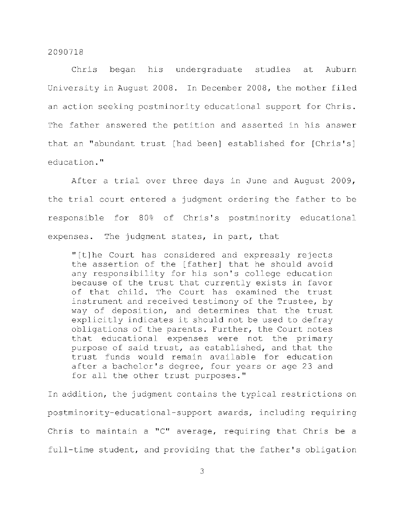Chris began his undergraduate studies at Auburn University in August 2008. In December 2008, the mother filed an action seeking postminority educational support for Chris. The father answered the petition and asserted in his answer that an "abundant trust [had been] established for [Chris's] education. "

After a trial over three days in June and August 2009, the trial court entered a judgment ordering the father to be responsible for 80% of Chris's postminority educational expenses. The judgment states, in part, that

"[t]he Court has considered and expressly rejects the assertion of the [father] that he should avoid any responsibility for his son's college education because of the trust that currently exists in favor of that child. The Court has examined the trust instrument and received testimony of the Trustee, by way of deposition, and determines that the trust explicitly indicates it should not be used to defray obligations of the parents. Further, the Court notes that educational expenses were not the primary purpose of said trust, as established, and that the trust funds would remain available for education after a bachelor's degree, four years or age 23 and for all the other trust purposes."

In addition, the judgment contains the typical restrictions on postminority-educational-support awards, including requiring Chris to maintain a "C" average, requiring that Chris be a full-time student, and providing that the father's obligation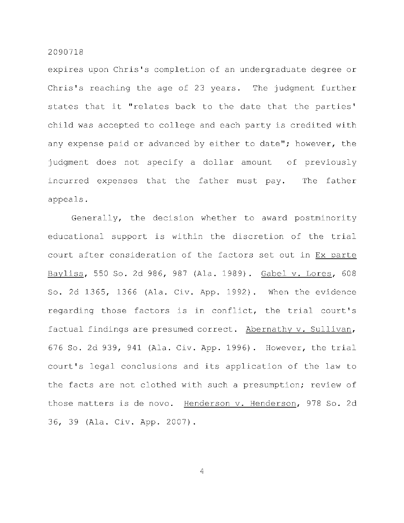expires upon Chris's completion of an undergraduate degree or Chris's reaching the age of 23 years. The judgment further states that it "relates back to the date that the parties' child was accepted to college and each party is credited with any expense paid or advanced by either to date"; however, the judgment does not specify a dollar amount of previously incurred expenses that the father must pay. The father appeals .

Generally, the decision whether to award postminority educational support is within the discretion of the trial court after consideration of the factors set out in Ex parte Bayliss, 550 So. 2d 986, 987 (Ala. 1989). Gabel v. Lores, 608 So. 2d 1365, 1366 (Ala. Civ. App. 1992). When the evidence regarding those factors is in conflict, the trial court's factual findings are presumed correct. Abernathy v. Sullivan, 676 So. 2d 939, 941 (Ala. Civ. App. 1996). However, the trial court's legal conclusions and its application of the law to the facts are not clothed with such a presumption; review of those matters is de novo. Henderson v. Henderson, 978 So. 2d 36, 39 (Ala. Civ. App. 2007).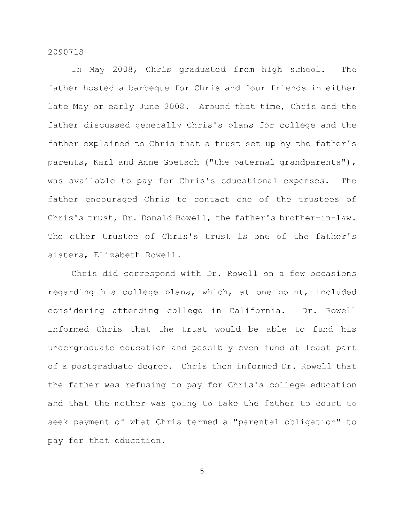In May 2008, Chris graduated from high school. The father hosted a barbeque for Chris and four friends in either late May or early June 2008. Around that time, Chris and the father discussed generally Chris's plans for college and the father explained to Chris that a trust set up by the father's parents, Karl and Anne Goetsch ("the paternal grandparents"), was available to pay for Chris's educational expenses. The father encouraged Chris to contact one of the trustees of Chris's trust, Dr. Donald Rowell, the father's brother-in-law. The other trustee of Chris's trust is one of the father's sisters, Elizabeth Rowell.

Chris did correspond with Dr. Rowell on a few occasions regarding his college plans, which, at one point, included considering attending college in California. Dr. Rowell informed Chris that the trust would be able to fund his undergraduate education and possibly even fund at least part of a postgraduate degree. Chris then informed Dr. Rowell that the father was refusing to pay for Chris's college education and that the mother was going to take the father to court to seek payment of what Chris termed a "parental obligation" to pay for that education.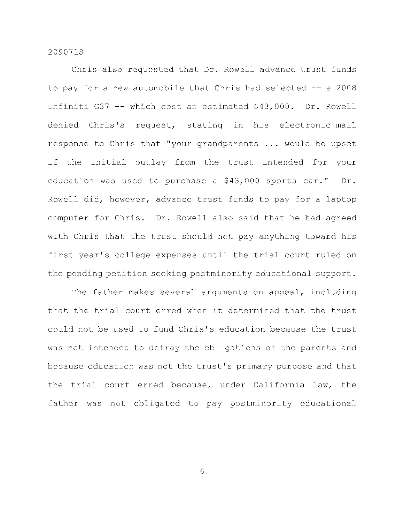Chris also requested that Dr. Rowell advance trust funds to pay for a new automobile that Chris had selected  $-$ - a 2008 Infiniti G37 -- which cost an estimated  $$43,000$ . Dr. Rowell denied Chris's request, stating in his electronic-mail response to Chris that "your grandparents ... would be upset if the initial outlay from the trust intended for your education was used to purchase a  $$43,000$  sports car." Dr. Rowell did, however, advance trust funds to pay for a laptop computer for Chris. Dr. Rowell also said that he had agreed with Chris that the trust should not pay anything toward his first year's college expenses until the trial court ruled on the pending petition seeking postminority educational support.

The father makes several arguments on appeal, including that the trial court erred when it determined that the trust could not be used to fund Chris's education because the trust was not intended to defray the obligations of the parents and because education was not the trust's primary purpose and that the trial court erred because, under California law, the father was not obligated to pay postminority educational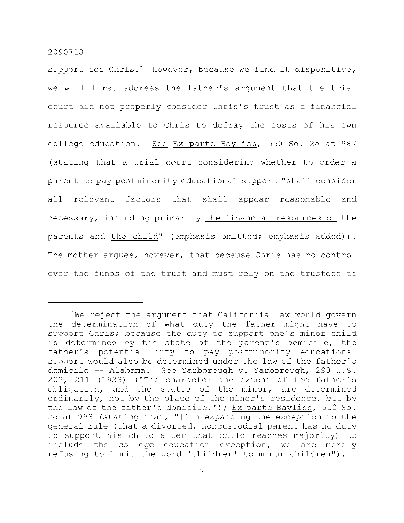support for Chris.<sup>2</sup> However, because we find it dispositive, we will first address the father's argument that the trial court did not properly consider Chris's trust as a financial resource available to Chris to defray the costs of his own college education. See Ex parte Bayliss, 550 So. 2d at 987 (stating that a trial court considering whether to order a parent to pay postminority educational support "shall consider all relevant factors that shall appear reasonable and necessary, including primarily the financial resources of the parents and the child" (emphasis omitted; emphasis added)). The mother argues, however, that because Chris has no control over the funds of the trust and must rely on the trustees to

<sup>&</sup>lt;sup>2</sup>We reject the argument that California law would govern the determination of what duty the father might have to support Chris; because the duty to support one's minor child is determined by the state of the parent's domicile, the father's potential duty to pay postminority educational support would also be determined under the law of the father's domicile -- Alabama. See Yarborough v. Yarborough, 290 U.S. 202, 211 (1933) ("The character and extent of the father's obligation, and the status of the minor, are determined ordinarily, not by the place of the minor's residence, but by the law of the father's domicile."); Ex parte Bayliss, 550 So. 2d at 993 (stating that, "[i]n expanding the exception to the general rule (that a divorced, noncustodial parent has no duty to support his child after that child reaches majority) to include the college education exception, we are merely refusing to limit the word 'children' to minor children").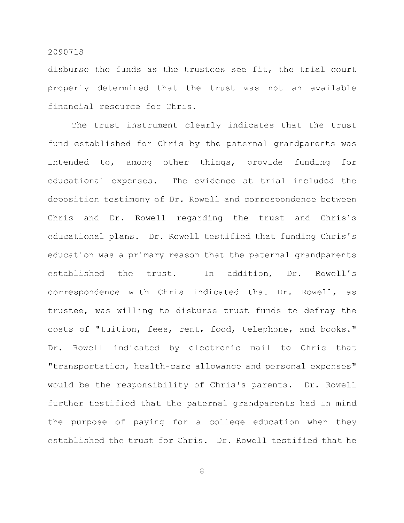disburse the funds as the trustees see fit, the trial court properly determined that the trust was not an available financial resource for Chris.

The trust instrument clearly indicates that the trust fund established for Chris by the paternal grandparents was intended to, among other things, provide funding for educational expenses. The evidence at trial included the deposition testimony of Dr. Rowell and correspondence between Chris and Dr. Rowell regarding the trust and Chris's educational plans. Dr. Rowell testified that funding Chris's education was a primary reason that the paternal grandparents established the trust. In addition, Dr. Rowell's correspondence with Chris indicated that Dr. Rowell, as trustee, was willing to disburse trust funds to defray the costs of "tuition, fees, rent, food, telephone, and books." Dr. Rowell indicated by electronic mail to Chris that "transportation, health-care allowance and personal expenses" would be the responsibility of Chris's parents. Dr. Rowell further testified that the paternal grandparents had in mind the purpose of paying for a college education when they established the trust for Chris. Dr. Rowell testified that he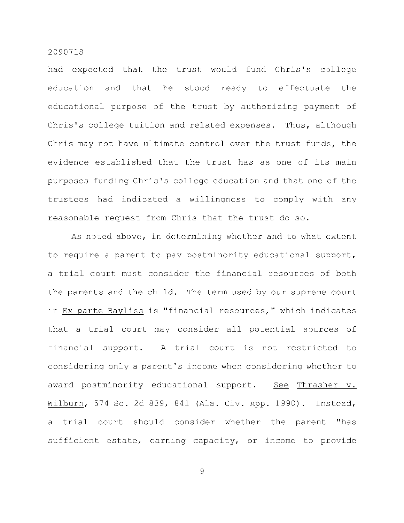had expected that the trust would fund Chris's college education and that he stood ready to effectuate the educational purpose of the trust by authorizing payment of Chris's college tuition and related expenses. Thus, although Chris may not have ultimate control over the trust funds, the evidence established that the trust has as one of its main purposes funding Chris's college education and that one of the trustees had indicated a willingness to comply with any reasonable request from Chris that the trust do so.

As noted above, in determining whether and to what extent to require a parent to pay postminority educational support, a trial court must consider the financial resources of both the parents and the child. The term used by our supreme court in Ex parte Bayliss is "financial resources," which indicates that a trial court may consider all potential sources of financial support. A trial court is not restricted to considering only a parent's income when considering whether to award postminority educational support. See Thrasher v. Wilburn, 574 So. 2d 839, 841 (Ala. Civ. App. 1990). Instead, a trial court should consider whether the parent "has sufficient estate, earning capacity, or income to provide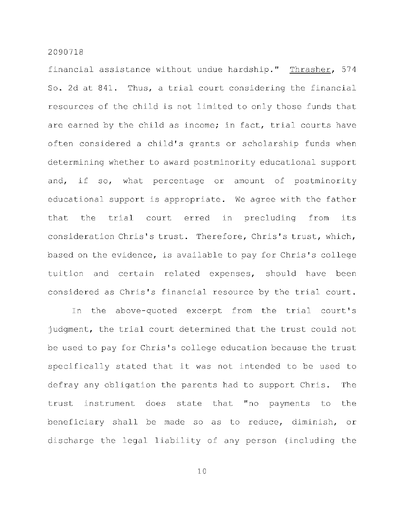financial assistance without undue hardship." Thrasher, 574 So. 2d at 841. Thus, a trial court considering the financial resources of the child is not limited to only those funds that are earned by the child as income; in fact, trial courts have often considered a child's grants or scholarship funds when determining whether to award postminority educational support and, if so, what percentage or amount of postminority educational support is appropriate. We agree with the father that the trial court erred in precluding from its consideration Chris's trust. Therefore, Chris's trust, which, based on the evidence, is available to pay for Chris's college tuition and certain related expenses, should have been considered as Chris's financial resource by the trial court.

In the above-quoted excerpt from the trial court's judgment, the trial court determined that the trust could not be used to pay for Chris's college education because the trust specifically stated that it was not intended to be used to defray any obligation the parents had to support Chris. The trust instrument does state that "no payments to the beneficiary shall be made so as to reduce, diminish, or discharge the legal liability of any person (including the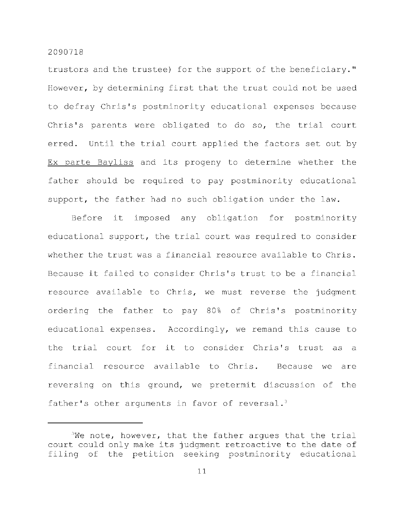trustors and the trustee) for the support of the beneficiary." However, by determining first that the trust could not be used to defray Chris's postminority educational expenses because Chris's parents were obligated to do so, the trial court erred. Until the trial court applied the factors set out by Ex parte Bayliss and its progeny to determine whether the father should be required to pay postminority educational support, the father had no such obligation under the law.

Before it imposed any obligation for postminority educational support, the trial court was required to consider whether the trust was a financial resource available to Chris. Because it failed to consider Chris's trust to be a financial resource available to Chris, we must reverse the judgment ordering the father to pay 80% of Chris's postminority educational expenses. Accordingly, we remand this cause to the trial court for it to consider Chris's trust as a financial resource available to Chris. Because we are reversing on this ground, we pretermit discussion of the father's other arguments in favor of reversal.<sup>3</sup>

 $3$ We note, however, that the father argues that the trial court could only make its judgment retroactive to the date of filing of the petition seeking postminority educational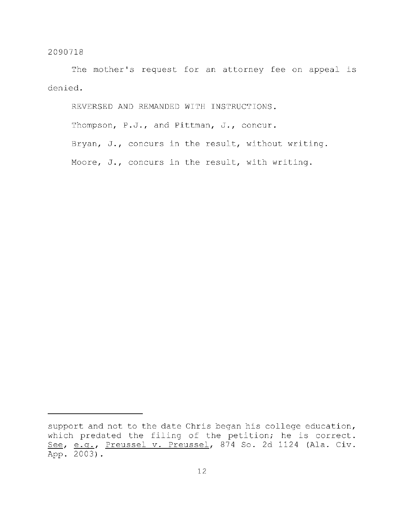The mother's request for an attorney fee on appeal is denied .

REVERSED AND REMANDED WITH INSTRUCTIONS. Thompson, P.J., and Pittman, J., concur. Bryan, J., concurs in the result, without writing. Moore, J., concurs in the result, with writing.

support and not to the date Chris began his college education, which predated the filing of the petition; he is correct. See, e.g., Preussel v. Preussel, 874 So. 2d 1124 (Ala. Civ. App. 2003).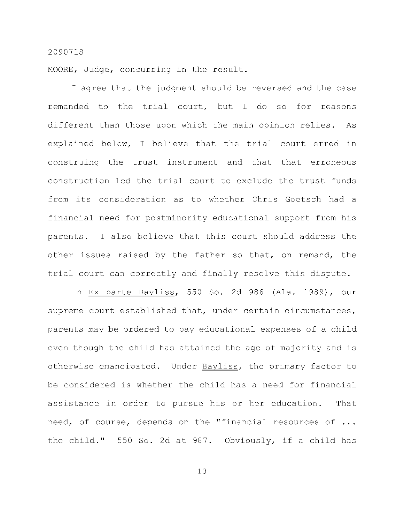MOORE, Judge, concurring in the result.

I agree that the judgment should be reversed and the case remanded to the trial court, but I do so for reasons different than those upon which the main opinion relies. As explained below, I believe that the trial court erred in construing the trust instrument and that that erroneous construction led the trial court to exclude the trust funds from its consideration as to whether Chris Goetsch had a financial need for postminority educational support from his parents. I also believe that this court should address the other issues raised by the father so that, on remand, the trial court can correctly and finally resolve this dispute.

In Ex parte Bayliss, 550 So. 2d 986 (Ala. 1989), our supreme court established that, under certain circumstances, parents may be ordered to pay educational expenses of a child even though the child has attained the age of majority and is otherwise emancipated. Under Bayliss, the primary factor to be considered is whether the child has a need for financial assistance in order to pursue his or her education. That need, of course, depends on the "financial resources of  $\ldots$ the child." 550 So. 2d at 987. Obviously, if a child has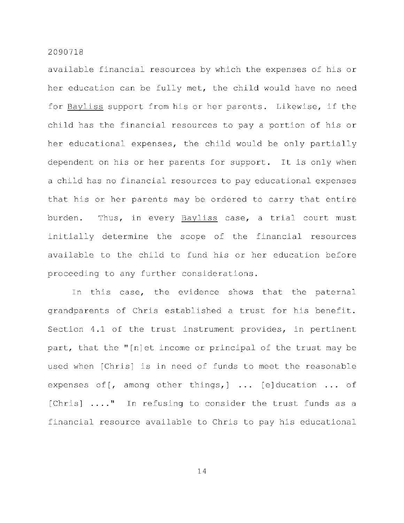available financial resources by which the expenses of his or her education can be fully met, the child would have no need for Bayliss support from his or her parents. Likewise, if the child has the financial resources to pay a portion of his or her educational expenses, the child would be only partially dependent on his or her parents for support. It is only when a child has no financial resources to pay educational expenses that his or her parents may be ordered to carry that entire burden. Thus, in every Bayliss case, a trial court must initially determine the scope of the financial resources available to the child to fund his or her education before proceeding to any further considerations.

In this case, the evidence shows that the paternal grandparents of Chris established a trust for his benefit. Section  $4.1$  of the trust instrument provides, in pertinent part, that the "[n]et income or principal of the trust may be used when [Chris] is in need of funds to meet the reasonable expenses of  $\lbrack$ , among other things,  $\rbrack$  ... [e]ducation ... of [Chris]  $\ldots$ ." In refusing to consider the trust funds as a financial resource available to Chris to pay his educational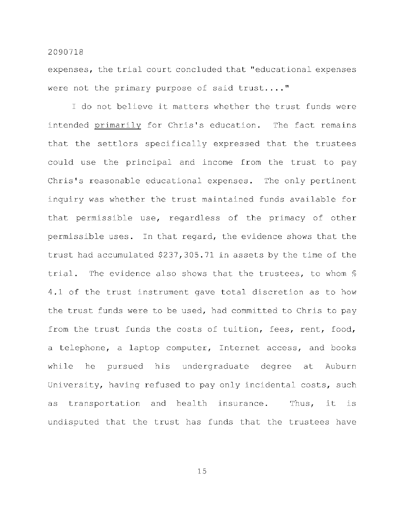expenses, the trial court concluded that "educational expenses were not the primary purpose of said trust...."

I do not believe it matters whether the trust funds were intended primarily for Chris's education. The fact remains that the settlors specifically expressed that the trustees could use the principal and income from the trust to pay Chris's reasonable educational expenses. The only pertinent inquiry was whether the trust maintained funds available for that permissible use, regardless of the primacy of other permissible uses. In that regard, the evidence shows that the trust had accumulated  $$237, 305.71$  in assets by the time of the trial. The evidence also shows that the trustees, to whom  $\S$ 4.1 of the trust instrument gave total discretion as to how the trust funds were to be used, had committed to Chris to pay from the trust funds the costs of tuition, fees, rent, food, a telephone, a laptop computer, Internet access, and books while he pursued his undergraduate degree at Auburn University, having refused to pay only incidental costs, such as transportation and health insurance. Thus, it is undisputed that the trust has funds that the trustees have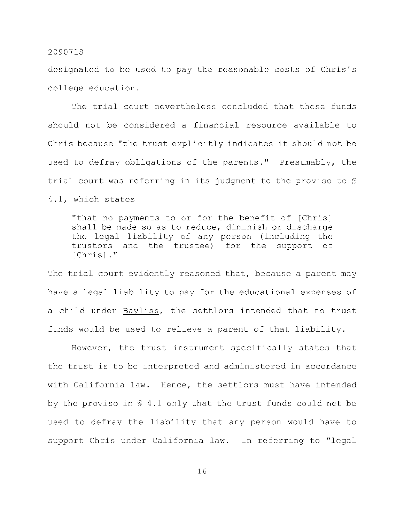designated to be used to pay the reasonable costs of Chris's college education.

The trial court nevertheless concluded that those funds should not be considered a financial resource available to Chris because "the trust explicitly indicates it should not be used to defray obligations of the parents." Presumably, the trial court was referring in its judgment to the proviso to § 4.1, which states

"that no payments to or for the benefit of [Chris] shall be made so as to reduce, diminish or discharge the legal liability of any person (including the trustors and the trustee) for the support of [Chris]."

The trial court evidently reasoned that, because a parent may have a legal liability to pay for the educational expenses of a child under Bayliss, the settlors intended that no trust funds would be used to relieve a parent of that liability.

However, the trust instrument specifically states that the trust is to be interpreted and administered in accordance with California law. Hence, the settlors must have intended by the proviso in  $\S$  4.1 only that the trust funds could not be used to defray the liability that any person would have to support Chris under California law. In referring to "legal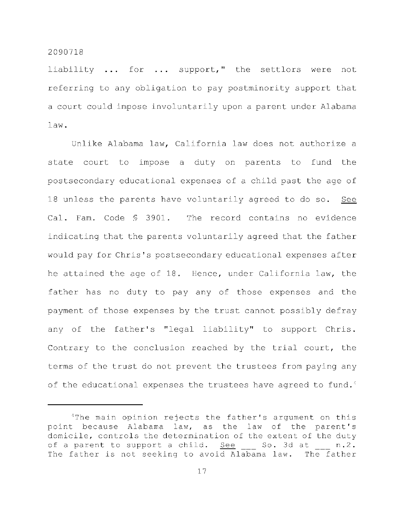liability ... for ... support," the settlors were not referring to any obligation to pay postminority support that a court could impose involuntarily upon a parent under Alabama law.

Unlike Alabama law, California law does not authorize a state court to impose a duty on parents to fund the postsecondary educational expenses of a child past the age of 18 unless the parents have voluntarily agreed to do so. See Cal. Fam. Code  $S$  3901. The record contains no evidence indicating that the parents voluntarily agreed that the father would pay for Chris's postsecondary educational expenses after he attained the age of 18. Hence, under California law, the father has no duty to pay any of those expenses and the payment of those expenses by the trust cannot possibly defray any of the father's "legal liability" to support Chris. Contrary to the conclusion reached by the trial court, the terms of the trust do not prevent the trustees from paying any of the educational expenses the trustees have agreed to fund.<sup>4</sup>

 $1$ The main opinion rejects the father's argument on this point because Alabama law, as the law of the parent's domicile, controls the determination of the extent of the duty of a parent to support a child. See \_\_\_ So. 3d at \_\_\_ n.2. The father is not seeking to avoid Alabama law. The father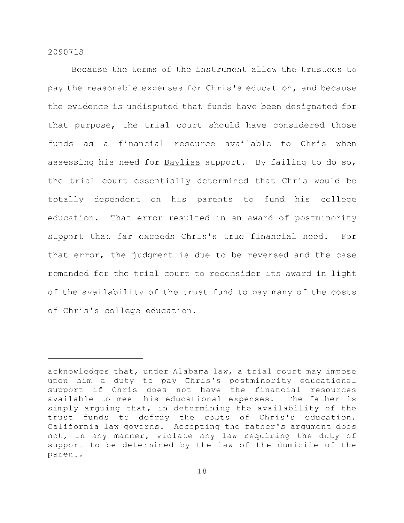Because the terms of the instrument allow the trustees to pay the reasonable expenses for Chris's education, and because the evidence is undisputed that funds have been designated for that purpose, the trial court should have considered those funds as a financial resource available to Chris when assessing his need for Bayliss support. By failing to do so, the trial court essentially determined that Chris would be totally dependent on his parents to fund his college education. That error resulted in an award of postminority support that far exceeds Chris's true financial need. For that error, the judgment is due to be reversed and the case remanded for the trial court to reconsider its award in light of the availability of the trust fund to pay many of the costs of Chris's college education.

acknowledges that, under Alabama law, a trial court may impose upon him a duty to pay Chris's postminority educational support if Chris does not have the financial resources available to meet his educational expenses. The father is simply arguing that, in determining the availability of the trust funds to defray the costs of Chris's education, California law governs. Accepting the father's argument does not, in any manner, violate any law requiring the duty of support to be determined by the law of the domicile of the parent .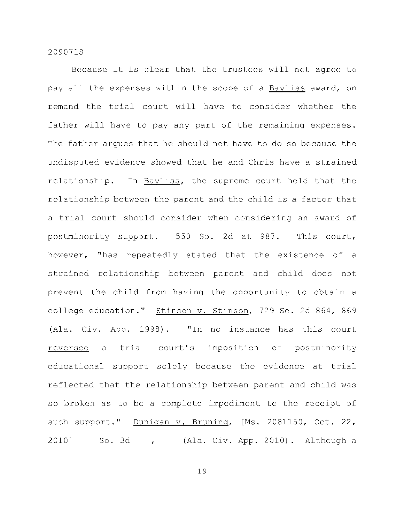Because it is clear that the trustees will not agree to pay all the expenses within the scope of a Bayliss award, on remand the trial court will have to consider whether the father will have to pay any part of the remaining expenses. The father argues that he should not have to do so because the undisputed evidence showed that he and Chris have a strained relationship. In Bayliss, the supreme court held that the relationship between the parent and the child is a factor that a trial court should consider when considering an award of postminority support. 550 So. 2d at 987. This court, however, "has repeatedly stated that the existence of a strained relationship between parent and child does not prevent the child from having the opportunity to obtain a college education." Stinson v. Stinson, 729 So. 2d 864, 869 (Ala. Civ. App. 1998). "In no instance has this court reversed a trial court's imposition of postminority educational support solely because the evidence at trial reflected that the relationship between parent and child was so broken as to be a complete impediment to the receipt of such support." Dunigan v. Bruning, [Ms. 2081150, Oct. 22, 2010] So. 3d | , | (Ala. Civ. App. 2010). Although a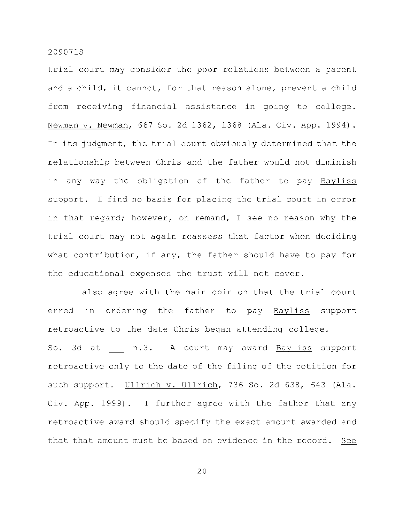trial court may consider the poor relations between a parent and a child, it cannot, for that reason alone, prevent a child from receiving financial assistance in going to college. Newman v. Newman, 667 So. 2d 1362, 1368 (Ala. Civ. App. 1994). In its judgment, the trial court obviously determined that the relationship between Chris and the father would not diminish in any way the obligation of the father to pay Bayliss support. I find no basis for placing the trial court in error in that regard; however, on remand, I see no reason why the trial court may not again reassess that factor when deciding what contribution, if any, the father should have to pay for the educational expenses the trust will not cover.

I also agree with the main opinion that the trial court erred in ordering the father to pay Bayliss support retroactive to the date Chris began attending college. So. 3d at n.3. A court may award Bayliss support retroactive only to the date of the filing of the petition for such support. Ullrich v. Ullrich, 736 So. 2d 638, 643 (Ala. Civ. App. 1999). I further agree with the father that any retroactive award should specify the exact amount awarded and that that amount must be based on evidence in the record. See